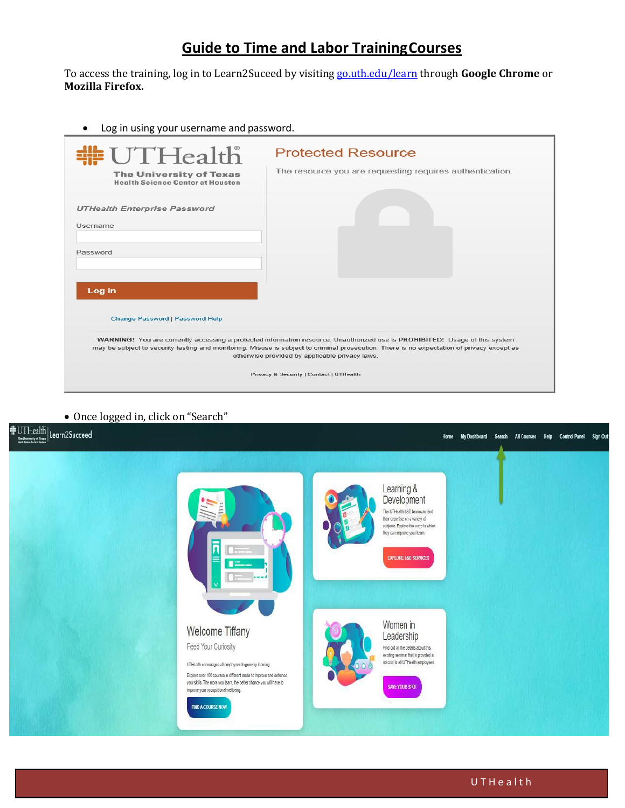## **Guide to Time and Labor TrainingCourses**

To access the training, log in to Learn2Suceed by visiting go.uth.edu/learn through **Google Chrome** or **Mozilla Firefox.**

• Log in using your username and password.

| #UTHealth                                                                                                                                                                                                                                                                                                                   | <b>Protected Resource</b>                                |  |  |  |  |
|-----------------------------------------------------------------------------------------------------------------------------------------------------------------------------------------------------------------------------------------------------------------------------------------------------------------------------|----------------------------------------------------------|--|--|--|--|
| <b>The University of Texas</b><br><b>Health Science Center at Houston</b>                                                                                                                                                                                                                                                   | The resource you are requesting requires authentication. |  |  |  |  |
| <b>UTHealth Enterprise Password</b>                                                                                                                                                                                                                                                                                         |                                                          |  |  |  |  |
| Username                                                                                                                                                                                                                                                                                                                    |                                                          |  |  |  |  |
| Password                                                                                                                                                                                                                                                                                                                    |                                                          |  |  |  |  |
| Log in                                                                                                                                                                                                                                                                                                                      |                                                          |  |  |  |  |
| <b>Change Password   Password Help</b>                                                                                                                                                                                                                                                                                      |                                                          |  |  |  |  |
| WARNING! You are currently accessing a protected information resource. Unauthorized use is PROHIBITED! Usage of this system<br>may be subject to security testing and monitoring. Misuse is subject to criminal prosecution. There is no expectation of privacy except as<br>otherwise provided by applicable privacy laws. |                                                          |  |  |  |  |
| Privacy & Security   Contact   UTHealth                                                                                                                                                                                                                                                                                     |                                                          |  |  |  |  |

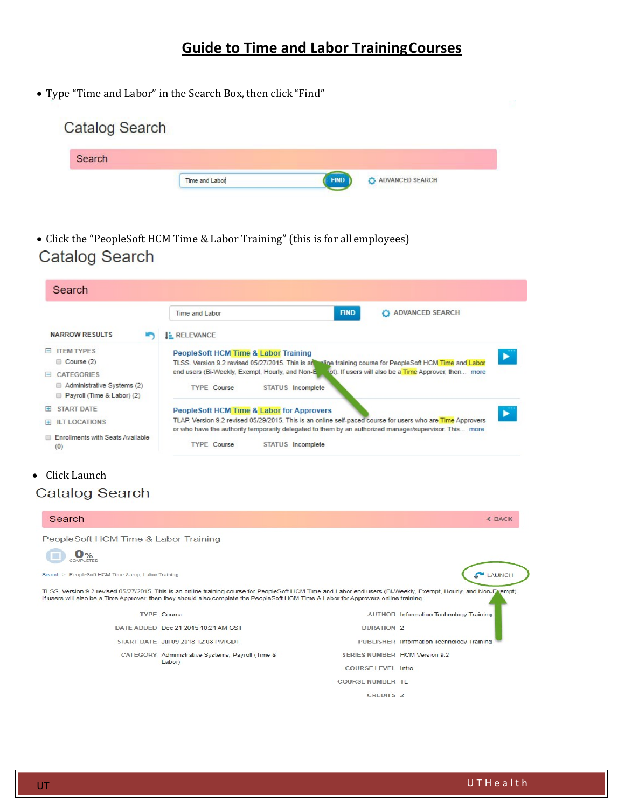## **Guide to Time and Labor TrainingCourses**

• Type "Time and Labor" in the Search Box, then click "Find"

| <b>Catalog Search</b> |                |                                         |
|-----------------------|----------------|-----------------------------------------|
| Search                |                |                                         |
|                       | Time and Labor | <b>FIND</b><br><b>D</b> ADVANCED SEARCH |

• Click the "PeopleSoft HCM Time & Labor Training" (this is for all employees)<br>Catalog Search

|                                                                                                                      | Time and Labor                                                                                                                                                                                                                                                                                                     | <b>FIND</b> | <b>C</b> ADVANCED SEARCH |               |
|----------------------------------------------------------------------------------------------------------------------|--------------------------------------------------------------------------------------------------------------------------------------------------------------------------------------------------------------------------------------------------------------------------------------------------------------------|-------------|--------------------------|---------------|
| <b>NARROW RESULTS</b><br>m                                                                                           | <b>E</b> RELEVANCE                                                                                                                                                                                                                                                                                                 |             |                          |               |
| <b>E ITEM TYPES</b><br>$\Box$ Course (2)<br>E CATEGORIES<br>Administrative Systems (2)<br>Payroll (Time & Labor) (2) | PeopleSoft HCM Time & Labor Training<br>TLSS. Version 9.2 revised 05/27/2015. This is an include training course for PeopleSoft HCM Time and Labor<br>end users (Bi-Weekly, Exempt, Hourly, and Non-E and). If users will also be a Time Approver, then more<br><b>TYPE Course</b><br>STATUS Incomplete            |             |                          | ►             |
| START DATE<br>$+$<br><b>H</b> ILT LOCATIONS<br><b>Enrollments with Seats Available</b><br>(0)                        | People Soft HCM Time & Labor for Approvers<br>▶<br>TLAP. Version 9.2 revised 05/29/2015. This is an online self-paced course for users who are Time Approvers<br>or who have the authority temporarily delegated to them by an authorized manager/supervisor. This more<br><b>TYPE Course</b><br>STATUS Incomplete |             |                          |               |
|                                                                                                                      |                                                                                                                                                                                                                                                                                                                    |             |                          |               |
| $\bullet$ - Click Launch<br>Catalog Search                                                                           |                                                                                                                                                                                                                                                                                                                    |             |                          |               |
| Search<br>PeopleSoft HCM Time & Labor Training                                                                       |                                                                                                                                                                                                                                                                                                                    |             |                          | <b>≮ BACK</b> |

| <b>TYPE Course</b>                               |                               | <b>AUTHOR Information Technology Training</b> |
|--------------------------------------------------|-------------------------------|-----------------------------------------------|
| DATE ADDED Dec 21 2015 10:21 AM CST              | DURATION <sub>2</sub>         |                                               |
| START DATE Jul 09 2018 12:08 PM CDT              |                               | PUBLISHER Information Technology Training     |
| CATEGORY Administrative Systems, Payroll (Time & | SERIES NUMBER HCM Version 9.2 |                                               |
| Labor)                                           | <b>COURSE LEVEL Intro</b>     |                                               |
|                                                  | <b>COURSE NUMBER TL</b>       |                                               |
|                                                  | CREDITS <sub>2</sub>          |                                               |